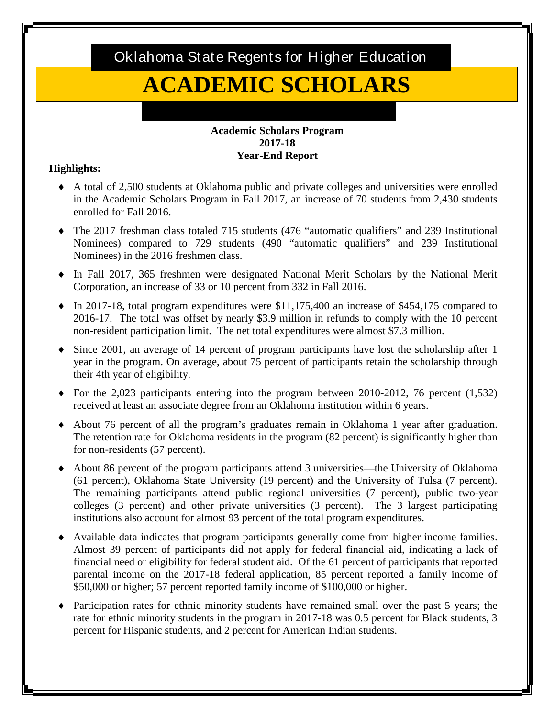Oklahoma State Regents for Higher Education

# **ACADEMIC SCHOLARS**

### **Academic Scholars Program 2017-18 Year-End Report**

## **Highlights:**

- ♦ A total of 2,500 students at Oklahoma public and private colleges and universities were enrolled in the Academic Scholars Program in Fall 2017, an increase of 70 students from 2,430 students enrolled for Fall 2016.
- ♦ The 2017 freshman class totaled 715 students (476 "automatic qualifiers" and 239 Institutional Nominees) compared to 729 students (490 "automatic qualifiers" and 239 Institutional Nominees) in the 2016 freshmen class.
- Corporation, an increase of 33 or 10 percent from 332 in Fall 2016. ♦ In Fall 2017, 365 freshmen were designated National Merit Scholars by the National Merit
- 2016-17. The total was offset by nearly \$3.9 million in refunds to comply with the 10 percent non-resident participation limit. The net total expenditures were almost \$7.3 million.  $\bullet$  In 2017-18, total program expenditures were \$11,175,400 an increase of \$454,175 compared to
- ♦ Since 2001, an average of 14 percent of program participants have lost the scholarship after 1 year in the program. On average, about 75 percent of participants retain the scholarship through their 4th year of eligibility.
- ♦ For the 2,023 participants entering into the program between 2010-2012, 76 percent (1,532) received at least an associate degree from an Oklahoma institution within 6 years.
- ♦ About 76 percent of all the program's graduates remain in Oklahoma 1 year after graduation. The retention rate for Oklahoma residents in the program (82 percent) is significantly higher than for non-residents (57 percent).
- ♦ About 86 percent of the program participants attend 3 universities—the University of Oklahoma (61 percent), Oklahoma State University (19 percent) and the University of Tulsa (7 percent). institutions also account for almost 93 percent of the total program expenditures. The remaining participants attend public regional universities (7 percent), public two-year colleges (3 percent) and other private universities (3 percent). The 3 largest participating
- ♦ Available data indicates that program participants generally come from higher income families. Almost 39 percent of participants did not apply for federal financial aid, indicating a lack of Almost 39 percent of participants did not apply for federal financial aid, indicating a lack of financial need or eligibility for federal student aid. Of the 61 percent of participants that reported parental income on the 2017-18 federal application, 85 percent reported a family income of \$50,000 or higher; 57 percent reported family income of \$100,000 or higher.
- rate for ethnic minority students in the program in 2017-18 was 0.5 percent for Black students, 3 percent for Hispanic students, and 2 percent for American Indian students. ♦ Participation rates for ethnic minority students have remained small over the past 5 years; the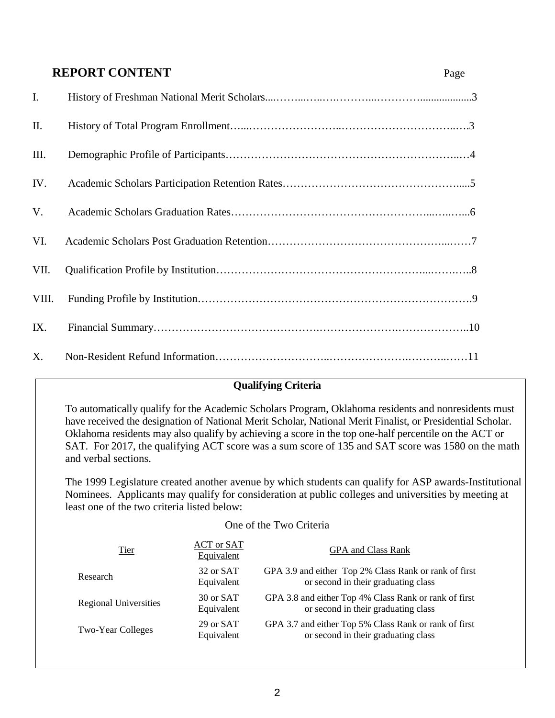## **REPORT CONTENT** Page

| I.    |  |
|-------|--|
| II.   |  |
| III.  |  |
| IV.   |  |
| V.    |  |
| VI.   |  |
| VII.  |  |
| VIII. |  |
| IX.   |  |
| X.    |  |

## **Qualifying Criteria**

 To automatically qualify for the Academic Scholars Program, Oklahoma residents and nonresidents must have received the designation of National Merit Scholar, National Merit Finalist, or Presidential Scholar. have received the designation of National Merit Scholar, National Merit Finalist, or Presidential Scholar.<br>Oklahoma residents may also qualify by achieving a score in the top one-half percentile on the ACT or SAT. For 2017, the qualifying ACT score was a sum score of 135 and SAT score was 1580 on the math and verbal sections.

The 1999 Legislature created another avenue by which students can qualify for ASP awards-Institutional Nominees. Applicants may qualify for consideration at public colleges and universities by meeting at least one of the two criteria listed below:

#### One of the Two Criteria

| <b>Tier</b>                  | ACT or SAT<br>Equivalent | <b>GPA and Class Rank</b>                                                                    |
|------------------------------|--------------------------|----------------------------------------------------------------------------------------------|
| Research                     | 32 or SAT<br>Equivalent  | GPA 3.9 and either Top 2% Class Rank or rank of first<br>or second in their graduating class |
| <b>Regional Universities</b> | 30 or SAT<br>Equivalent  | GPA 3.8 and either Top 4% Class Rank or rank of first<br>or second in their graduating class |
| <b>Two-Year Colleges</b>     | 29 or SAT<br>Equivalent  | GPA 3.7 and either Top 5% Class Rank or rank of first<br>or second in their graduating class |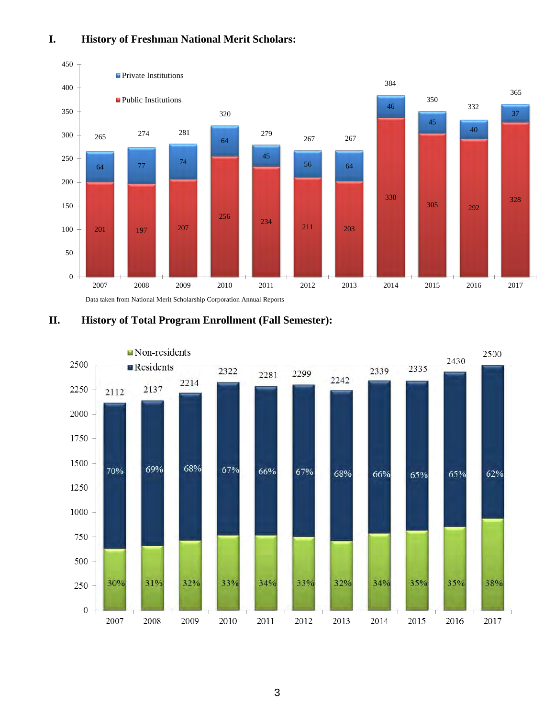## **I. History of Freshman National Merit Scholars:**



**II. History of Total Program Enrollment (Fall Semester):** 

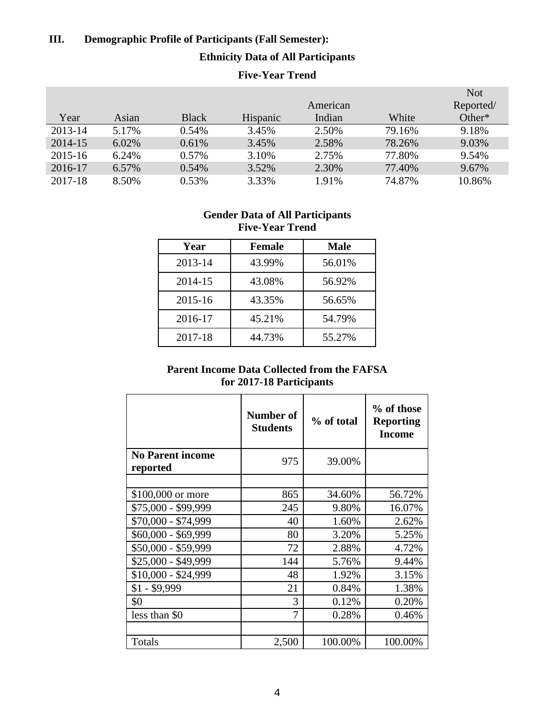## **III. Demographic Profile of Participants (Fall Semester):**

## **Ethnicity Data of All Participants**

## **Five-Year Trend**

|         |       |              |                 |          |        | <b>Not</b> |
|---------|-------|--------------|-----------------|----------|--------|------------|
|         |       |              |                 | American |        | Reported/  |
| Year    | Asian | <b>Black</b> | <b>Hispanic</b> | Indian   | White  | Other*     |
| 2013-14 | 5.17% | 0.54%        | 3.45%           | 2.50%    | 79.16% | 9.18%      |
| 2014-15 | 6.02% | 0.61%        | 3.45%           | 2.58%    | 78.26% | 9.03%      |
| 2015-16 | 6.24% | 0.57%        | 3.10%           | 2.75%    | 77.80% | 9.54%      |
| 2016-17 | 6.57% | 0.54%        | 3.52%           | 2.30%    | 77.40% | 9.67%      |
| 2017-18 | 8.50% | 0.53%        | 3.33%           | 1.91%    | 74.87% | 10.86%     |

### **Gender Data of All Participants Five-Year Trend**

| Year    | <b>Female</b> | <b>Male</b> |
|---------|---------------|-------------|
| 2013-14 | 43.99%        | 56.01%      |
| 2014-15 | 43.08%        | 56.92%      |
| 2015-16 | 43.35%        | 56.65%      |
| 2016-17 | 45.21%        | 54.79%      |
| 2017-18 | 44.73%        | 55.27%      |

## **Parent Income Data Collected from the FAFSA for 2017-18 Participants**

|                                     | Number of<br><b>Students</b> | % of total | % of those<br><b>Reporting</b><br><b>Income</b> |
|-------------------------------------|------------------------------|------------|-------------------------------------------------|
| <b>No Parent income</b><br>reported | 975                          | 39.00%     |                                                 |
|                                     |                              |            |                                                 |
| \$100,000 or more                   | 865                          | 34.60%     | 56.72%                                          |
| \$75,000 - \$99,999                 | 245                          | 9.80%      | 16.07%                                          |
| \$70,000 - \$74,999                 | 40                           | 1.60%      | 2.62%                                           |
| \$60,000 - \$69,999                 | 80                           | 3.20%      | 5.25%                                           |
| \$50,000 - \$59,999                 | 72                           | 2.88%      | 4.72%                                           |
| \$25,000 - \$49,999                 | 144                          | 5.76%      | 9.44%                                           |
| \$10,000 - \$24,999                 | 48                           | 1.92%      | 3.15%                                           |
| $$1 - $9,999$                       | 21                           | 0.84%      | 1.38%                                           |
| \$0                                 | 3                            | 0.12%      | 0.20%                                           |
| less than \$0                       | 7                            | 0.28%      | 0.46%                                           |
|                                     |                              |            |                                                 |
| Totals                              | 2,500                        | 100.00%    | 100.00%                                         |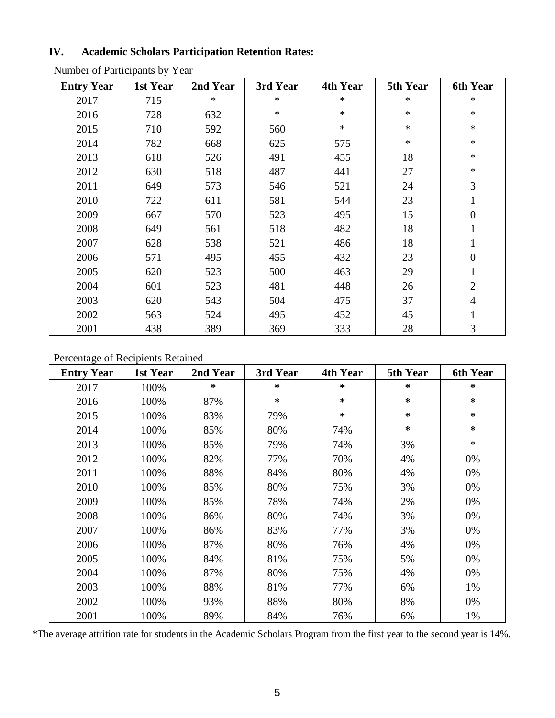## **IV. Academic Scholars Participation Retention Rates:**

| <b>Entry Year</b> | 1st Year | 2nd Year | 3rd Year | 4th Year | 5th Year | <b>6th Year</b> |
|-------------------|----------|----------|----------|----------|----------|-----------------|
| 2017              | 715      | $\ast$   | $\ast$   | $\ast$   | $\ast$   | $\ast$          |
| 2016              | 728      | 632      | $\ast$   | $\ast$   | $\ast$   | $\ast$          |
| 2015              | 710      | 592      | 560      | $\ast$   | $\ast$   | $\ast$          |
| 2014              | 782      | 668      | 625      | 575      | $\ast$   | $\ast$          |
| 2013              | 618      | 526      | 491      | 455      | 18       | $\ast$          |
| 2012              | 630      | 518      | 487      | 441      | 27       | $\ast$          |
| 2011              | 649      | 573      | 546      | 521      | 24       | 3               |
| 2010              | 722      | 611      | 581      | 544      | 23       | 1               |
| 2009              | 667      | 570      | 523      | 495      | 15       | $\overline{0}$  |
| 2008              | 649      | 561      | 518      | 482      | 18       | $\mathbf{1}$    |
| 2007              | 628      | 538      | 521      | 486      | 18       | 1               |
| 2006              | 571      | 495      | 455      | 432      | 23       | $\overline{0}$  |
| 2005              | 620      | 523      | 500      | 463      | 29       |                 |
| 2004              | 601      | 523      | 481      | 448      | 26       | $\overline{2}$  |
| 2003              | 620      | 543      | 504      | 475      | 37       | $\overline{4}$  |
| 2002              | 563      | 524      | 495      | 452      | 45       |                 |
| 2001              | 438      | 389      | 369      | 333      | 28       | 3               |

Number of Participants by Year

## Percentage of Recipients Retained

| <b>Entry Year</b> | 1st Year | 2nd Year | 3rd Year | 4th Year | 5th Year | <b>6th Year</b> |
|-------------------|----------|----------|----------|----------|----------|-----------------|
| 2017              | 100%     | $\ast$   | ∗        | $\ast$   | $\ast$   | ∗               |
| 2016              | 100%     | 87%      | ∗        | ∗        | $\star$  | $\ast$          |
| 2015              | 100%     | 83%      | 79%      | *        | ∗        | ∗               |
| 2014              | 100%     | 85%      | 80%      | 74%      | $\ast$   | ∗               |
| 2013              | 100%     | 85%      | 79%      | 74%      | 3%       | $\ast$          |
| 2012              | 100%     | 82%      | 77%      | 70%      | 4%       | 0%              |
| 2011              | 100%     | 88%      | 84%      | 80%      | 4%       | 0%              |
| 2010              | 100%     | 85%      | 80%      | 75%      | 3%       | 0%              |
| 2009              | 100%     | 85%      | 78%      | 74%      | 2%       | 0%              |
| 2008              | 100%     | 86%      | 80%      | 74%      | 3%       | 0%              |
| 2007              | 100%     | 86%      | 83%      | 77%      | 3%       | 0%              |
| 2006              | 100%     | 87%      | 80%      | 76%      | 4%       | 0%              |
| 2005              | 100%     | 84%      | 81%      | 75%      | 5%       | 0%              |
| 2004              | 100%     | 87%      | 80%      | 75%      | 4%       | 0%              |
| 2003              | 100%     | 88%      | 81%      | 77%      | 6%       | 1%              |
| 2002              | 100%     | 93%      | 88%      | 80%      | 8%       | 0%              |
| 2001              | 100%     | 89%      | 84%      | 76%      | 6%       | 1%              |

\*The average attrition rate for students in the Academic Scholars Program from the first year to the second year is 14%.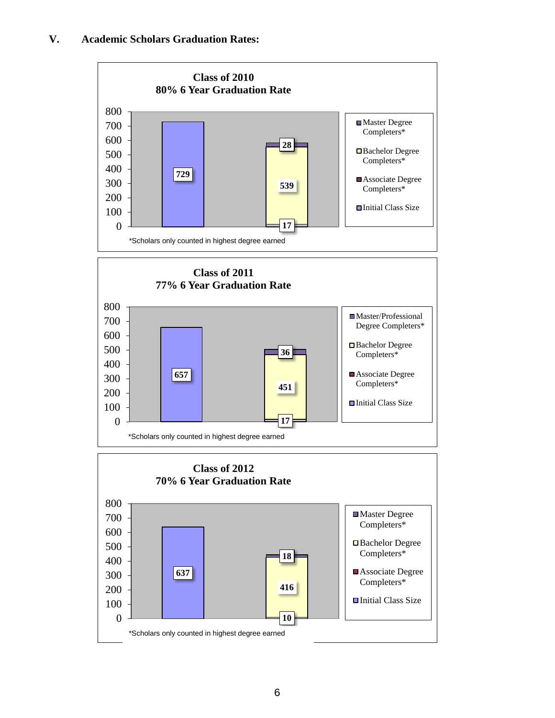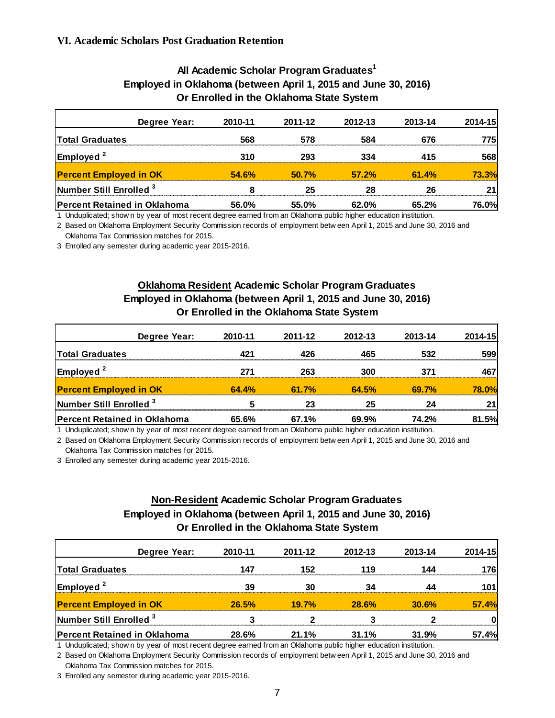| Degree Year:                        | 2010-11      | 2011-12 | 2012-13 | 2013-14 | 2014-15 |  |  |
|-------------------------------------|--------------|---------|---------|---------|---------|--|--|
| <b>Total Graduates</b>              | 568          | 578     | 584     | 676     | 775     |  |  |
| Employed <sup>2</sup>               | 310          | 293     | 334     | 415     | 568     |  |  |
| <b>Percent Employed in OK</b>       | <b>54.6%</b> | 50.7%   | 57.2%   | 61.4%   | 73.3%l  |  |  |
| Number Still Enrolled <sup>3</sup>  |              |         | 28      | 26      |         |  |  |
| <b>Percent Retained in Oklahoma</b> | 56.0%        | 55.0%   | 62.0%   | 65.2%   | 76.0%l  |  |  |

#### **All Academic Scholar Program Graduates1 Employed in Oklahoma (between April 1, 2015 and June 30, 2016) Or Enrolled in the Oklahoma State System**

1 Unduplicated; show n by year of most recent degree earned from an Oklahoma public higher education institution.

2 Based on Oklahoma Employment Security Commission records of employment betw een April 1, 2015 and June 30, 2016 and Oklahoma Tax Commission matches for 2015.

3 Enrolled any semester during academic year 2015-2016.

## **Oklahoma Resident Academic Scholar Program Graduates Employed in Oklahoma (between April 1, 2015 and June 30, 2016) Or Enrolled in the Oklahoma State System**

| Degree Year:                        | 2010-11 | 2011-12 | 2012-13 | 2013-14 | 2014-15      |
|-------------------------------------|---------|---------|---------|---------|--------------|
| <b>Total Graduates</b>              | 421     | 426     | 465     | 532     | 599          |
| $\mathsf{Emploved}^2$               | 271     | 263     | 300     | 371     | 467          |
| <b>Percent Employed in OK</b>       | 64.4%   | 61.7%   | 64.5%   | 69.7%   | <b>78.0%</b> |
| Number Still Enrolled <sup>3</sup>  |         | 23      | 25      | 24      |              |
| <b>Percent Retained in Oklahoma</b> | 65.6%   | 67.1%   | 69.9%   | 74.2%   | 81.5%        |

1 Unduplicated; show n by year of most recent degree earned from an Oklahoma public higher education institution.

2 Based on Oklahoma Employment Security Commission records of employment betw een April 1, 2015 and June 30, 2016 and

Oklahoma Tax Commission matches for 2015.

3 Enrolled any semester during academic year 2015-2016.

## **Non-Resident Academic Scholar Program Graduates Employed in Oklahoma (between April 1, 2015 and June 30, 2016) Or Enrolled in the Oklahoma State System**

| Degree Year:                        | 2010-11 | 2011-12  | 2012-13 | 2013-14 | 2014-15 |
|-------------------------------------|---------|----------|---------|---------|---------|
| <b>Total Graduates</b>              | 147     | 152      | 119     | 144     | 176     |
| <b>Employed</b> <sup>2</sup>        | 39      | 30       |         |         |         |
| <b>Percent Employed in OK</b>       | 26.5%   | $19.7\%$ | 28.6%   | 30.6%   | 57.4%   |
| Number Still Enrolled <sup>3</sup>  |         |          |         |         |         |
| <b>Percent Retained in Oklahoma</b> | 28.6%   | 21.1%    | 31.1%   | 31.9%   | 57.4%   |

1 Unduplicated; show n by year of most recent degree earned from an Oklahoma public higher education institution.

2 Based on Oklahoma Employment Security Commission records of employment betw een April 1, 2015 and June 30, 2016 and Oklahoma Tax Commission matches for 2015.

3 Enrolled any semester during academic year 2015-2016.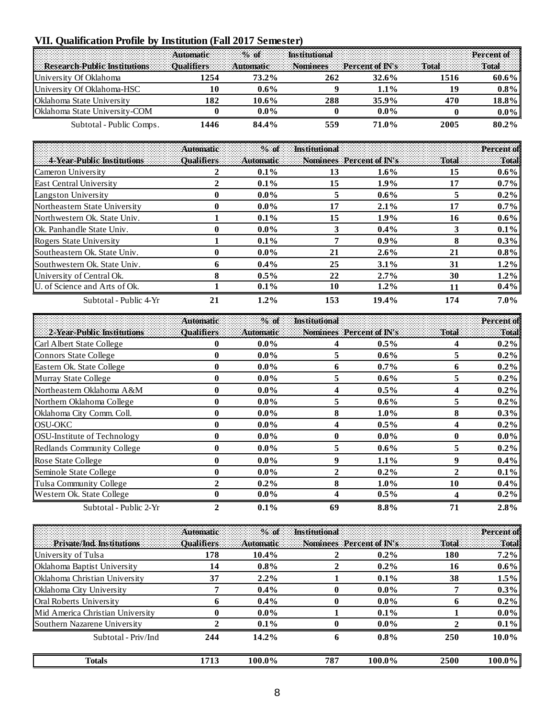# **VII. Qualification Profile by Institution (Fall 2017 Semester)**

| and a complete the complete of the complete of the contract of the contract of the contract of the contract of |     |          | $\blacksquare$ This titutional $\blacksquare$ is a second contract that $\blacksquare$ . Per cent of $\blacksquare$ |          |      |          |
|----------------------------------------------------------------------------------------------------------------|-----|----------|---------------------------------------------------------------------------------------------------------------------|----------|------|----------|
| Research-Public Institutions Dualifiers Automatic Nominees Percent of IN's Total Total                         |     |          |                                                                                                                     |          |      |          |
| University Of Oklahoma                                                                                         | 254 | 73.2%    | 262                                                                                                                 | $32.6\%$ | 1516 | 60.6%    |
| University Of Oklahoma-HSC                                                                                     | 10  | $0.6\%$  |                                                                                                                     | $1.1\%$  | 19   | $0.8\%$  |
| <b>Oklahoma State University</b>                                                                               | 182 | $10.6\%$ | 288                                                                                                                 | 35.9%    | 470  | $18.8\%$ |
| <b>Oklahoma State University-COM</b>                                                                           |     | 0.0%     |                                                                                                                     | $0.0\%$  |      | $0.0\%$  |
| Subtotal - Public Comps.                                                                                       | 446 | 84.4%    | 559                                                                                                                 | 71.0%    | 2005 | 80.2%    |

|                                  | <b>Automatic</b>   | $%$ of    | <b>Institutional</b> |                          |       | Percent of |
|----------------------------------|--------------------|-----------|----------------------|--------------------------|-------|------------|
| 4-Year-Public Institutions       | <b>Qualifiers:</b> | Automatic |                      | Nominees Percent of IN's | Total | Total      |
| Cameron University               |                    | $0.1\%$   | 13                   | $1.6\%$                  | 15    | $0.6\%$    |
| East Central University          |                    | $0.1\%$   | 15                   | $1.9\%$                  | 17    | $0.7\%$    |
| Langston University              | $\mathbf{u}$       | $0.0\%$   | 5                    | $0.6\%$                  | 5     | $0.2\%$    |
| Northeastern State University    | 0                  | $0.0\%$   | 17                   | $2.1\%$                  | 17    | $0.7\%$    |
| Northwestern Ok. State Univ.     |                    | $0.1\%$   | 15                   | $1.9\%$                  | 16    | $0.6\%$    |
| <b>Ok.</b> Panhandle State Univ. | 0                  | $0.0\%$   | 3                    | $0.4\%$                  | 3     | $0.1\%$    |
| Rogers State University          |                    | $0.1\%$   | 7                    | $0.9\%$                  | 8     | $0.3\%$    |
| Southeastern Ok. State Univ.     | 0                  | $0.0\%$   | 21                   | $2.6\%$                  | 21    | $0.8\%$    |
| Southwestern Ok. State Univ.     | O                  | $0.4\%$   | 25                   | $3.1\%$                  | 31    | $1.2\%$    |
| University of Central Ok.        | 8                  | $0.5\%$   | 22                   | 2.7%                     | 30    | $1.2\%$    |
| U. of Science and Arts of Ok.    |                    | $0.1\%$   | 10                   | $1.2\%$                  | 11    | $0.4\%$    |
| Subtotal - Public 4-Yr           | 21                 | $1.2\%$   | 153                  | 19.4%                    | 174   | $7.0\%$    |

|                                    | <b>Automatic:</b> | $%$ of     | <b>Institutional</b>     |         |       | Percent of |
|------------------------------------|-------------------|------------|--------------------------|---------|-------|------------|
| 2-Year-Public Institutions         | <b>Qualifiers</b> | :Automatic | Nominees Percent of IN's |         | Total | Total      |
| Carl Albert State College          | 0                 | $0.0\%$    | 4                        | $0.5\%$ |       | $0.2\%$    |
| Connors State College              | 0                 | $0.0\%$    | 5                        | $0.6\%$ |       | $0.2\%$    |
| Eastern Ok. State College          | 0                 | $0.0\%$    | 6                        | $0.7\%$ |       | $0.2\%$    |
| Murray State College               | $\bf{0}$          | $0.0\%$    | 5                        | $0.6\%$ | 5.    | $0.2\%$    |
| Northeastern Oklahoma A&M          | 0                 | $0.0\%$    | 4                        | $0.5\%$ | 4     | $0.2\%$    |
| Northern Oklahoma College          | 0                 | $0.0\%$    | 5                        | $0.6\%$ | 5     | $0.2\%$    |
| Oklahoma City Comm. Coll.          | 0                 | $0.0\%$    | 8                        | $1.0\%$ |       | $0.3\%$    |
| <b>OSU-OKC</b>                     | $\bf{0}$          | $0.0\%$    | 4                        | $0.5\%$ |       | $0.2\%$    |
| <b>OSU-Institute of Technology</b> | $\bf{0}$          | $0.0\%$    | $\bf{0}$                 | $0.0\%$ | 0     | $0.0\%$    |
| Redlands Community College         | 0                 | $0.0\%$    | 5                        | $0.6\%$ | 5.    | $0.2\%$    |
| Rose State College                 | $\bf{0}$          | $0.0\%$    | 9                        | $1.1\%$ | 9     | $0.4\%$    |
| Seminole State College             | $\boldsymbol{0}$  | $0.0\%$    | $\mathbf{2}$             | $0.2\%$ | 2     | $0.1\%$    |
| Tulsa Community College            | 2                 | $0.2\%$    | 8                        | $1.0\%$ | 10    | $0.4\%$    |
| Western Ok. State College          | 0                 | $0.0\%$    | 4                        | $0.5\%$ |       | $0.2\%$    |
| Subtotal - Public 2-Yr             | 2                 | 0.1%       | 69                       | 8.8%    | 71    | 2.8%       |

|                                  | <b>Automatic</b>  | $\frac{9}{6}$ of | <b>Institutional</b> |                          |       | Percent of |
|----------------------------------|-------------------|------------------|----------------------|--------------------------|-------|------------|
| Private/Ind. Institutions        | <b>Qualifiers</b> | Automatic        |                      | Nominees Percent of IN's | Total | Total      |
| University of Tulsa              | 178               | $10.4\%$         |                      | $0.2\%$                  | 180   | 7.2%       |
| Oklahoma Baptist University      | 14                | $0.8\%$          |                      | $0.2\%$                  | 16    | $0.6\%$    |
| Oklahoma Christian University    | 37                | $2.2\%$          |                      | $0.1\%$                  | 38    | 1.5%       |
| Oklahoma City University         |                   | $0.4\%$          | 0                    | $0.0\%$                  |       | $0.3\%$    |
| <b>Oral Roberts University</b>   | o                 | $0.4\%$          | 0                    | $0.0\%$                  |       | $0.2\%$    |
| Mid America Christian University |                   | $0.0\%$          |                      | $0.1\%$                  |       | $0.0\%$    |
| Southern Nazarene University     |                   | $0.1\%$          | 0                    | $0.0\%$                  |       | $0.1\%$    |
| Subtotal - Priv/Ind              | 244               | $14.2\%$         | 6                    | $0.8\%$                  | 250   | $10.0\%$   |
| Totals                           | 1713              | 100.0%           | 787                  | 100.0%                   | 2500  | $100.0\%$  |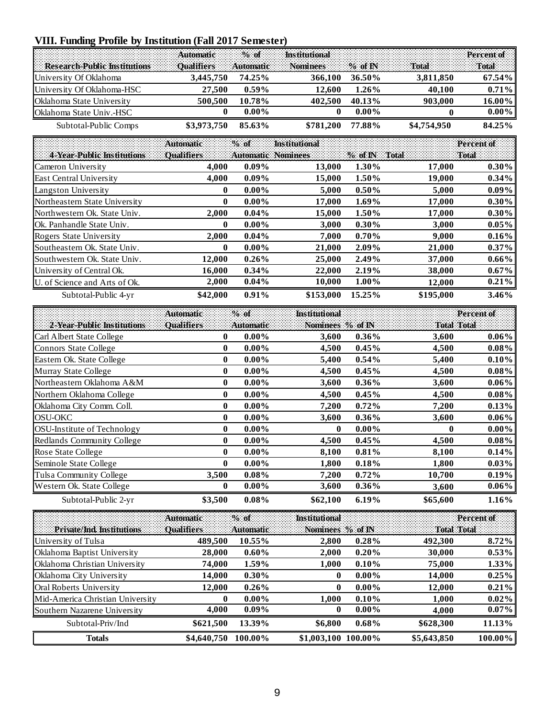# **VIII. Funding Profile by Institution (Fall 2017 Semester)**

| <b>Automatic Wealth Music Servers Institutional Percent of Percent of Automatic Wealth Institutional Percent of Institutional Percent of Institutional Percent of Institutional Percent of Institutional Percent of Institutiona</b> |             |          |           |          |             |           |
|--------------------------------------------------------------------------------------------------------------------------------------------------------------------------------------------------------------------------------------|-------------|----------|-----------|----------|-------------|-----------|
| Research-Public Institutions Dualifiers Automatic Nominees % of IN Total Total Total                                                                                                                                                 |             |          |           |          |             |           |
| University Of Oklahoma                                                                                                                                                                                                               | 3.445.750   | 74.25%   | 366,100   | 36.50%   | 3.811.850   | $67.54\%$ |
| University Of Oklahoma-HSC                                                                                                                                                                                                           | 27.500      | $0.59\%$ | 12.600    | $1.26\%$ | 40.100      | $0.71\%$  |
| <b>Oklahoma State University</b>                                                                                                                                                                                                     | 500.500     | 10.78%   | 402.500   | 40.13%   | 903.000     | $16.00\%$ |
| <b>Oklahoma State Univ.-HSC</b>                                                                                                                                                                                                      |             | $0.00\%$ |           | $0.00\%$ |             | $0.00\%$  |
| Subtotal-Public Comps                                                                                                                                                                                                                | \$3,973,750 | 85.63%   | \$781,200 | 77.88%   | \$4,754,950 | 84.25%    |

|                                  | <b>Automatic</b>  | $\%$ of  | <b>Institutional</b>      |           |           | Percent of |
|----------------------------------|-------------------|----------|---------------------------|-----------|-----------|------------|
| 4 Year-Public Institutions       | <b>Qualifiers</b> |          | <b>Automatic Nominees</b> | $%$ of IN | Total     | Total      |
| Cameron University               | 4.000             | $0.09\%$ | 13,000                    | 1.30%     | 17,000    | $0.30\%$   |
| East Central University          | 4.000             | $0.09\%$ | 15,000                    | 1.50%     | 19,000    | $0.34\%$   |
| Langston University              | $\mathbf{0}$      | $0.00\%$ | 5,000                     | $0.50\%$  | 5,000     | $0.09\%$   |
| Northeastern State University    | $\mathbf{0}$      | $0.00\%$ | 17,000                    | 1.69%     | 17,000    | $0.30\%$   |
| Northwestern Ok. State Univ.     | 2.000             | $0.04\%$ | 15.000                    | 1.50%     | 17,000    | $0.30\%$   |
| <b>Ok.</b> Panhandle State Univ. | $\bf{0}$          | $0.00\%$ | 3,000                     | $0.30\%$  | 3,000     | $0.05\%$   |
| Rogers State University          | 2.000             | $0.04\%$ | 7.000                     | $0.70\%$  | 9,000     | $0.16\%$   |
| Southeastern Ok. State Univ.     | $\mathbf{0}$      | $0.00\%$ | 21,000                    | 2.09%     | 21,000    | $0.37\%$   |
| Southwestern Ok. State Univ.     | 12,000            | $0.26\%$ | 25,000                    | 2.49%     | 37,000    | $0.66\%$   |
| University of Central Ok.        | 16.000            | $0.34\%$ | 22,000                    | 2.19%     | 38,000    | $0.67\%$   |
| U. of Science and Arts of Ok.    | 2,000             | $0.04\%$ | 10,000                    | 1.00%     | 12,000    | $0.21\%$   |
| Subtotal-Public 4-yr             | \$42,000          | $0.91\%$ | \$153,000                 | 15.25%    | \$195,000 | $3.46\%$   |

|                             | <b>Automatic</b>  | $%$ of           | Institutional    |          |                    | Percent of |
|-----------------------------|-------------------|------------------|------------------|----------|--------------------|------------|
| 2-Year-Public Institutions  | <b>Qualifiers</b> | <b>Automatic</b> | Nominees % of IN |          | <b>Total Total</b> |            |
| Carl Albert State College   | 0                 | $0.00\%$         | 3,600            | $0.36\%$ | 3,600              | $0.06\%$   |
| Connors State College       | 0                 | $0.00\%$         | 4,500            | 0.45%    | 4,500              | $0.08\%$   |
| Eastern Ok. State College   | 0                 | $0.00\%$         | 5,400            | $0.54\%$ | 5,400              | $0.10\%$   |
| Murray State College        | 0                 | $0.00\%$         | 4,500            | 0.45%    | 4,500              | $0.08\%$   |
| Northeastern Oklahoma A&M   | 0                 | $0.00\%$         | 3,600            | $0.36\%$ | 3,600              | $0.06\%$   |
| Northern Oklahoma College   | 0                 | $0.00\%$         | 4,500            | 0.45%    | 4,500              | $0.08\%$   |
| Oklahoma City Comm. Coll.   | 0                 | $0.00\%$         | 7,200            | 0.72%    | 7,200              | 0.13%      |
| <b>OSU-OKC</b>              | 0                 | $0.00\%$         | 3,600            | $0.36\%$ | 3,600              | $0.06\%$   |
| OSU-Institute of Technology | 0                 | $0.00\%$         | 0                | $0.00\%$ | $\mathbf{0}$       | $0.00\%$   |
| Redlands Community College  | 0                 | $0.00\%$         | 4,500            | 0.45%    | 4,500              | $0.08\%$   |
| Rose State College          | 0                 | $0.00\%$         | 8,100            | $0.81\%$ | 8,100              | $0.14\%$   |
| Seminole State College      | 0                 | $0.00\%$         | 1,800            | 0.18%    | 1,800              | $0.03\%$   |
| Tulsa Community College     | 3.500             | $0.08\%$         | 7,200            | $0.72\%$ | 10,700             | $0.19\%$   |
| Western Ok. State College   | 0                 | $0.00\%$         | 3,600            | $0.36\%$ | 3,600              | $0.06\%$   |
| Subtotal-Public 2-yr        | \$3,500           | 0.08%            | \$62,100         | 6.19%    | \$65,600           | 1.16%      |

|                                      | <b>Automatic:</b> | $\%$ of          | <b>Institutional</b> |          | 1999 - Paul Barbara (n. 1992)<br>1999 - Paul Barbara (n. 1992) | Percent of |
|--------------------------------------|-------------------|------------------|----------------------|----------|----------------------------------------------------------------|------------|
| Private/Ind Institutions             | Qualifiers        | <b>Automatic</b> | Nominees % of IN     |          | <b>Total Total</b>                                             |            |
| University of Tulsa                  | 489,500           | 10.55%           | 2,800                | $0.28\%$ | 492,300                                                        | $8.72\%$   |
| <b>Oklahoma Baptist University</b>   | 28,000            | $0.60\%$         | 2,000                | $0.20\%$ | 30,000                                                         | $0.53\%$   |
| <b>Oklahoma Christian University</b> | 74.000            | $1.59\%$         | 1,000                | $0.10\%$ | 75,000                                                         | $1.33\%$   |
| <b>Oklahoma City University</b>      | 14.000            | $0.30\%$         | $\bf{0}$             | $0.00\%$ | 14,000                                                         | 0.25%      |
| <b>Oral Roberts University</b>       | 12.000            | $0.26\%$         | 0                    | $0.00\%$ | 12,000                                                         | $0.21\%$   |
| Mid-America Christian University     | $\mathbf{0}$      | $0.00\%$         | 1.000                | $0.10\%$ | 1,000                                                          | $0.02\%$   |
| Southern Nazarene University         | 4.000             | $0.09\%$         | $\mathbf{0}$         | $0.00\%$ | 4,000                                                          | $0.07\%$   |
| Subtotal-Priv/Ind                    | \$621.500         | 13.39%           | \$6,800              | $0.68\%$ | \$628,300                                                      | 11.13%     |
| Totals                               | \$4,640,750       | 100.00%          | \$1,003,100          | 100.00%  | \$5,643,850                                                    | $100.00\%$ |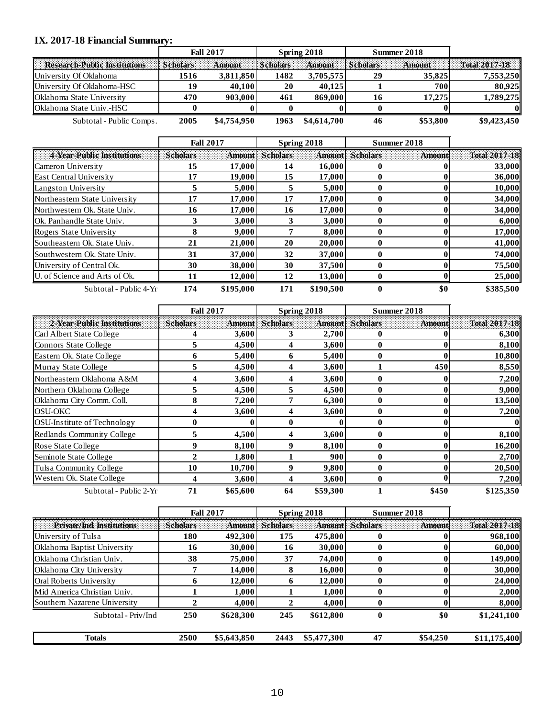#### **IX. 2017-18 Financial Summary:**

|                                     | <b>Fall 2017</b> |               |                 | Spring 2018 |                        | Summer 2018 |               |
|-------------------------------------|------------------|---------------|-----------------|-------------|------------------------|-------------|---------------|
| <b>Research-Public Institutions</b> | Scholars         | <b>Amount</b> | <i>Scholars</i> |             | Amount Scholars Amount |             | Total 2017-18 |
| University Of Oklahoma              | 1516             | 3.811.850     | 1482            | 3.705.575   |                        | 35,825      | 7.553.250     |
| University Of Oklahoma-HSC          | 19               | 40.100        | 20              | 40.125      |                        | 700         | 80,925        |
| <b>Oklahoma State University</b>    | 470              | 903,000       | 461             | 869,000     |                        | 17.275      | 1,789,275     |
| <b>Oklahoma State Univ.-HSC</b>     |                  |               |                 |             |                        |             |               |
| Subtotal - Public Comps.            | 2005             | \$4,754,950   | 1963            | \$4,614,700 |                        | \$53,800    | \$9,423,450   |

|                                  | <b>Fall 2017</b> |           |                        | Spring 2018 | Summer 2018            |        |               |
|----------------------------------|------------------|-----------|------------------------|-------------|------------------------|--------|---------------|
| 4-Year-Public Institutions       | <b>Scholars</b>  |           | <b>Amount</b> Scholars |             | <b>Amount Scholars</b> | Amount | Total 2017-18 |
| Cameron University               | 15               | 17,000    | 14                     | 16,000      |                        |        | 33,000        |
| <b>East Central University</b>   | 17               | 19,000    | 15                     | 17,000      |                        |        | 36,000        |
| Langston University              |                  | 5.000     |                        | 5.000       |                        |        | 10.000        |
| Northeastern State University    | 17               | 17,000    | 17                     | 17,000      |                        |        | 34,000        |
| Northwestern Ok. State Univ.     | 16               | 17,000    | 16                     | 17,000      |                        |        | 34,000        |
| <b>Ok.</b> Panhandle State Univ. |                  | 3.000     |                        | 3,000       |                        |        | 6,000         |
| Rogers State University          | 8                | 9,000     |                        | 8.000       |                        |        | 17,000        |
| Southeastern Ok. State Univ.     | 21               | 21,000    | 20                     | 20,000      |                        |        | 41,000        |
| Southwestern Ok. State Univ.     | 31               | 37,000    | 32                     | 37,000      |                        |        | 74,000        |
| University of Central Ok.        | 30               | 38,000    | 30                     | 37,500      |                        |        | 75,500        |
| U. of Science and Arts of Ok.    | 11               | 12.000    | 12                     | 13,000      |                        |        | 25,000        |
| Subtotal - Public 4-Yr           | 174              | \$195,000 | 171                    | \$190.500   | 0                      | \$0    | \$385,500     |

|                                    | <b>Fall 2017</b> |          |                 | Spring 2018 |                        | Summer 2018   |               |
|------------------------------------|------------------|----------|-----------------|-------------|------------------------|---------------|---------------|
| 2-Year-Public Institutions         | <b>Scholars</b>  |          | Amount Scholars |             | <b>Amount</b> Scholars | <b>Amount</b> | Total 2017-18 |
| Carl Albert State College          |                  | 3,600    |                 | 2,700       |                        |               | 6,300         |
| Connors State College              |                  | 4,500    | 4               | 3,600       |                        |               | 8,100         |
| Eastern Ok. State College          |                  | 5,400    | 6               | 5,400       |                        |               | 10,800        |
| Murray State College               |                  | 4,500    | 4               | 3,600       |                        | 450           | 8,550         |
| Northeastern Oklahoma A&M          |                  | 3,600    | 4               | 3,600       | 0                      | 0             | 7,200         |
| Northern Oklahoma College          |                  | 4,500    | 5               | 4,500       | 0                      |               | 9,000         |
| Oklahoma City Comm. Coll.          |                  | 7,200    |                 | 6,300       | 0                      |               | 13,500        |
| <b>OSU-OKC</b>                     |                  | 3,600    |                 | 3,600       | 0                      |               | 7,200         |
| <b>OSU-Institute of Technology</b> | $\mathbf 0$      |          | 0               | 0           | 0                      |               | 01            |
| Redlands Community College         | 5                | 4,500    | 4               | 3,600       | 0                      |               | 8,100         |
| Rose State College                 | 9                | 8,100    | 9               | 8,100       | 0                      |               | 16,200        |
| Seminole State College             | $\mathbf{2}$     | 1,800    |                 | 900         | 0                      |               | 2,700         |
| Tulsa Community College            | 10               | 10,700   | 9               | 9,800       | 0                      |               | 20,500        |
| Western Ok. State College          |                  | 3,600    |                 | 3,600       |                        |               | 7,200         |
| Subtotal - Public 2-Yr             | 71               | \$65,600 | 64              | \$59,300    |                        | \$450         | \$125,350     |

|                                |                 | <b>Fall 2017</b> |                        | Spring 2018 |                        | Summer 2018 |                      |
|--------------------------------|-----------------|------------------|------------------------|-------------|------------------------|-------------|----------------------|
| Private/Ind. Institutions      | <b>Scholars</b> |                  | <b>Amount</b> Scholars |             | <b>Amount</b> Scholars | Amount      | <b>Total 2017-18</b> |
| University of Tulsa            | 180             | 492,300          | 175                    | 475,800     |                        |             | 968,100              |
| Oklahoma Baptist University    | 16              | 30,000           | 16                     | 30,000      |                        |             | 60,000               |
| Oklahoma Christian Univ.       | 38              | 75,000           | 37                     | 74.000      | o                      |             | 149,000              |
| Oklahoma City University       |                 | 14,000           |                        | 16,000      |                        |             | 30,000               |
| <b>Oral Roberts University</b> |                 | 12,000           |                        | 12,000      |                        |             | 24,000               |
| Mid America Christian Univ.    |                 | 1.000            |                        | 1.000       |                        |             | 2,000                |
| Southern Nazarene University   |                 | 4,000            |                        | 4,000       |                        |             | 8,000                |
| Subtotal - Priv/Ind            | 250             | \$628,300        | 245                    | \$612,800   | o                      | \$0         | \$1,241,100          |
| Totals                         | 2500            | \$5,643,850      | 2443                   | \$5,477,300 | 47                     | \$54,250    | \$11,175,400         |